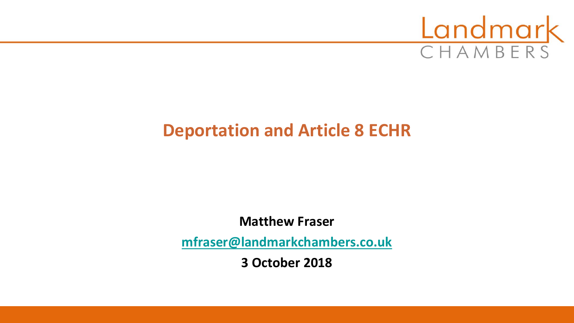

# **Deportation and Article 8 ECHR**

**Matthew Fraser**

**[mfraser@landmarkchambers.co.uk](mailto:mfraser@landmarkchambers.co.uk)**

**3 October 2018**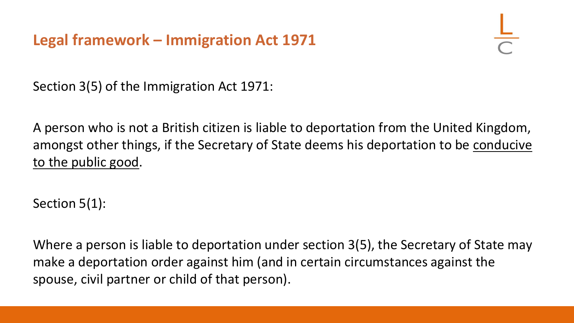# **Legal framework – Immigration Act 1971**

Section 3(5) of the Immigration Act 1971:

A person who is not a British citizen is liable to deportation from the United Kingdom, amongst other things, if the Secretary of State deems his deportation to be conducive to the public good.

Section 5(1):

Where a person is liable to deportation under section 3(5), the Secretary of State may make a deportation order against him (and in certain circumstances against the spouse, civil partner or child of that person).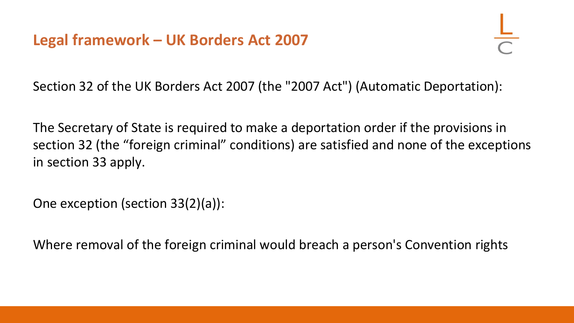Section 32 of the UK Borders Act 2007 (the "2007 Act") (Automatic Deportation):

The Secretary of State is required to make a deportation order if the provisions in section 32 (the "foreign criminal" conditions) are satisfied and none of the exceptions in section 33 apply.

One exception (section 33(2)(a)):

Where removal of the foreign criminal would breach a person's Convention rights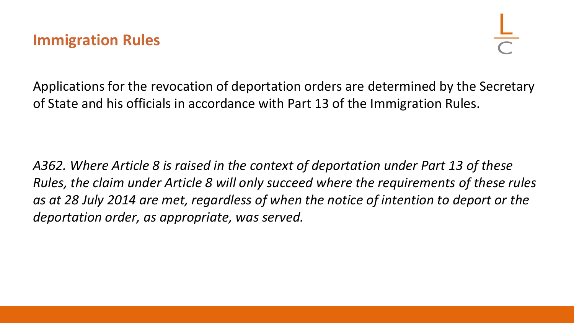Applications for the revocation of deportation orders are determined by the Secretary of State and his officials in accordance with Part 13 of the Immigration Rules.

*A362. Where Article 8 is raised in the context of deportation under Part 13 of these Rules, the claim under Article 8 will only succeed where the requirements of these rules as at 28 July 2014 are met, regardless of when the notice of intention to deport or the deportation order, as appropriate, was served.*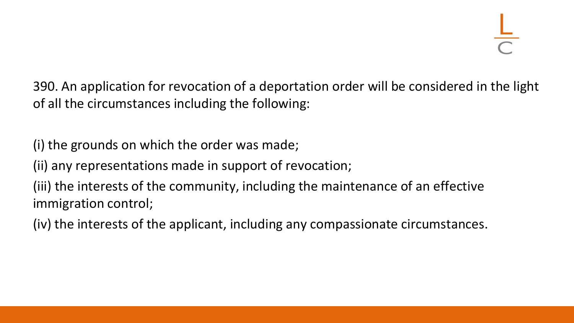390. An application for revocation of a deportation order will be considered in the light of all the circumstances including the following:

(i) the grounds on which the order was made;

(ii) any representations made in support of revocation;

(iii) the interests of the community, including the maintenance of an effective immigration control;

(iv) the interests of the applicant, including any compassionate circumstances.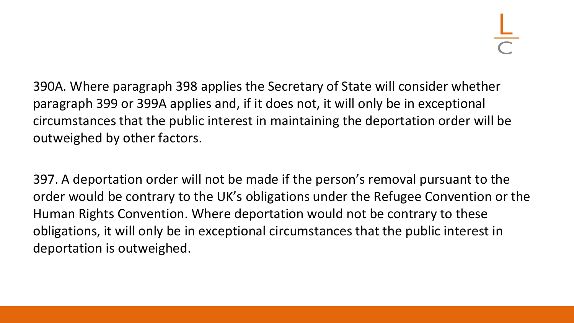390A. Where paragraph 398 applies the Secretary of State will consider whether paragraph 399 or 399A applies and, if it does not, it will only be in exceptional circumstances that the public interest in maintaining the deportation order will be outweighed by other factors.

397. A deportation order will not be made if the person's removal pursuant to the order would be contrary to the UK's obligations under the Refugee Convention or the Human Rights Convention. Where deportation would not be contrary to these obligations, it will only be in exceptional circumstances that the public interest in deportation is outweighed.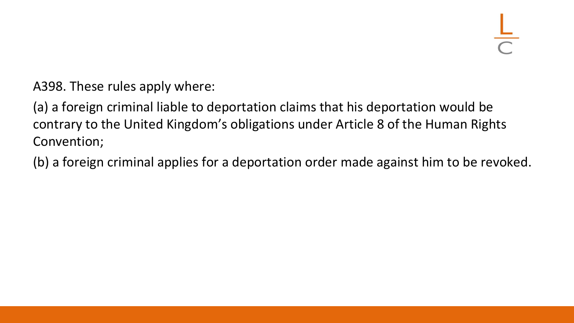A398. These rules apply where:

(a) a foreign criminal liable to deportation claims that his deportation would be contrary to the United Kingdom's obligations under Article 8 of the Human Rights Convention;

(b) a foreign criminal applies for a deportation order made against him to be revoked.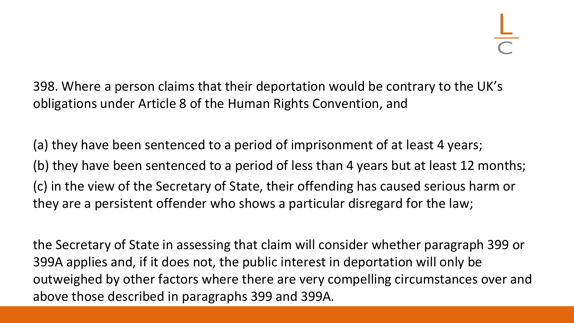398. Where a person claims that their deportation would be contrary to the UK's obligations under Article 8 of the Human Rights Convention, and

(a) they have been sentenced to a period of imprisonment of at least 4 years; (b) they have been sentenced to a period of less than 4 years but at least 12 months; (c) in the view of the Secretary of State, their offending has caused serious harm or they are a persistent offender who shows a particular disregard for the law;

the Secretary of State in assessing that claim will consider whether paragraph 399 or 399A applies and, if it does not, the public interest in deportation will only be outweighed by other factors where there are very compelling circumstances over and above those described in paragraphs 399 and 399A.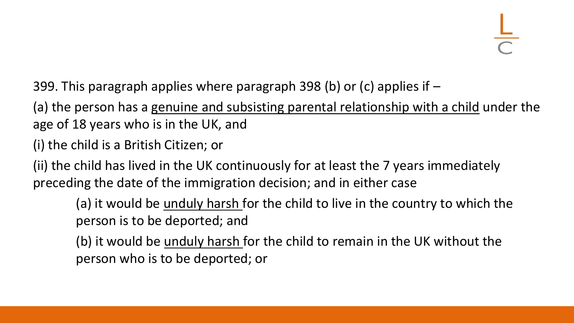399. This paragraph applies where paragraph 398 (b) or (c) applies if –

(a) the person has a genuine and subsisting parental relationship with a child under the age of 18 years who is in the UK, and

(i) the child is a British Citizen; or

(ii) the child has lived in the UK continuously for at least the 7 years immediately preceding the date of the immigration decision; and in either case

(a) it would be unduly harsh for the child to live in the country to which the person is to be deported; and

(b) it would be unduly harsh for the child to remain in the UK without the person who is to be deported; or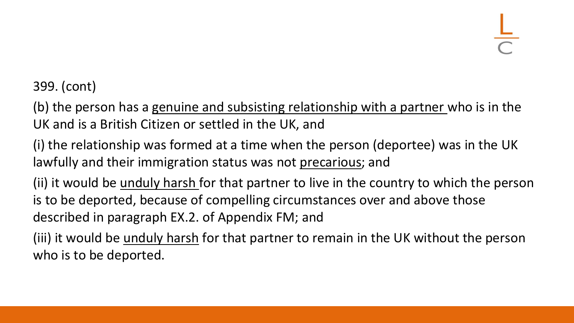399. (cont)

(b) the person has a genuine and subsisting relationship with a partner who is in the UK and is a British Citizen or settled in the UK, and

(i) the relationship was formed at a time when the person (deportee) was in the UK lawfully and their immigration status was not precarious; and

(ii) it would be unduly harsh for that partner to live in the country to which the person is to be deported, because of compelling circumstances over and above those described in paragraph EX.2. of Appendix FM; and

(iii) it would be unduly harsh for that partner to remain in the UK without the person who is to be deported.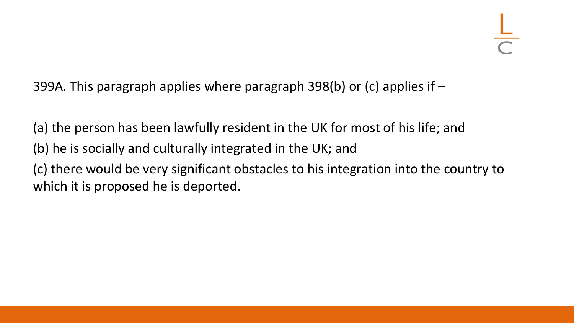399A. This paragraph applies where paragraph 398(b) or (c) applies if –

(a) the person has been lawfully resident in the UK for most of his life; and (b) he is socially and culturally integrated in the UK; and (c) there would be very significant obstacles to his integration into the country to which it is proposed he is deported.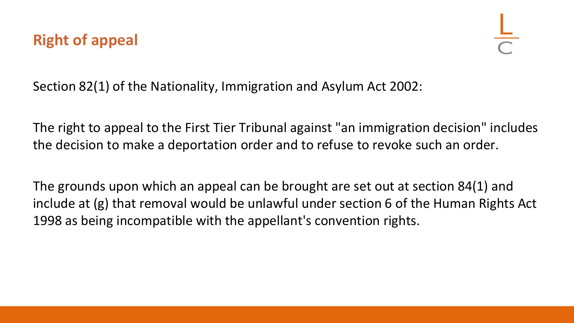# **Right of appeal**

Section 82(1) of the Nationality, Immigration and Asylum Act 2002:

The right to appeal to the First Tier Tribunal against "an immigration decision" includes the decision to make a deportation order and to refuse to revoke such an order.

The grounds upon which an appeal can be brought are set out at section 84(1) and include at (g) that removal would be unlawful under section 6 of the Human Rights Act 1998 as being incompatible with the appellant's convention rights.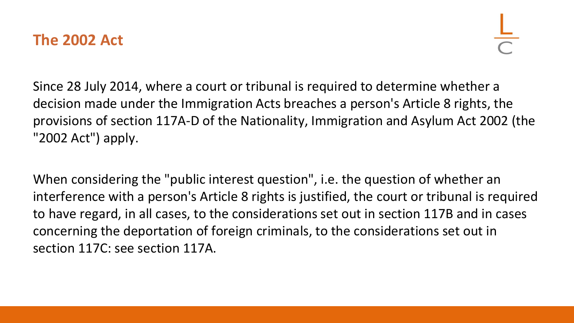## **The 2002 Act**

Since 28 July 2014, where a court or tribunal is required to determine whether a decision made under the Immigration Acts breaches a person's Article 8 rights, the provisions of section 117A-D of the Nationality, Immigration and Asylum Act 2002 (the "2002 Act") apply.

When considering the "public interest question", i.e. the question of whether an interference with a person's Article 8 rights is justified, the court or tribunal is required to have regard, in all cases, to the considerations set out in section 117B and in cases concerning the deportation of foreign criminals, to the considerations set out in section 117C: see section 117A.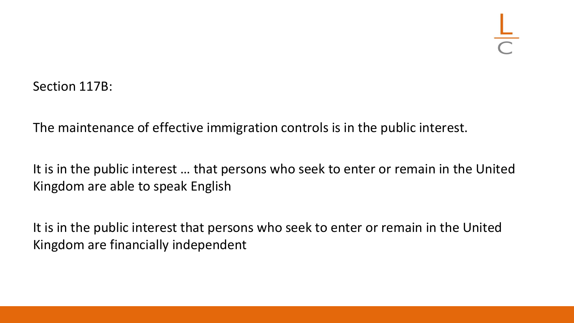Section 117B:

The maintenance of effective immigration controls is in the public interest.

It is in the public interest … that persons who seek to enter or remain in the United Kingdom are able to speak English

It is in the public interest that persons who seek to enter or remain in the United Kingdom are financially independent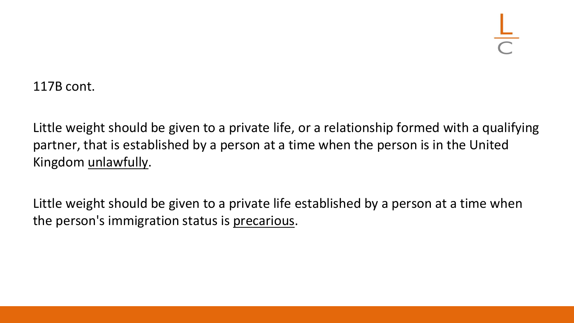117B cont.

Little weight should be given to a private life, or a relationship formed with a qualifying partner, that is established by a person at a time when the person is in the United Kingdom unlawfully.

Little weight should be given to a private life established by a person at a time when the person's immigration status is precarious.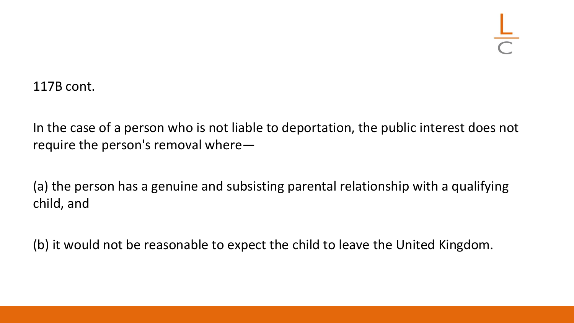117B cont.

In the case of a person who is not liable to deportation, the public interest does not require the person's removal where—

(a) the person has a genuine and subsisting parental relationship with a qualifying child, and

(b) it would not be reasonable to expect the child to leave the United Kingdom.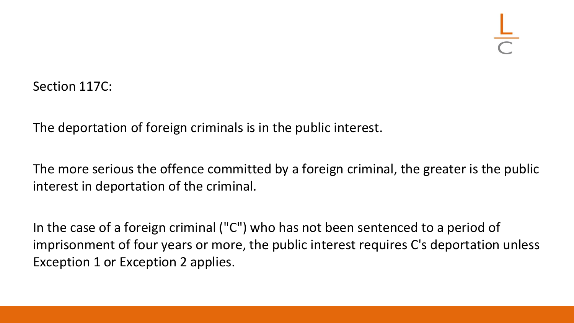Section 117C:

The deportation of foreign criminals is in the public interest.

The more serious the offence committed by a foreign criminal, the greater is the public interest in deportation of the criminal.

In the case of a foreign criminal ("C") who has not been sentenced to a period of imprisonment of four years or more, the public interest requires C's deportation unless Exception 1 or Exception 2 applies.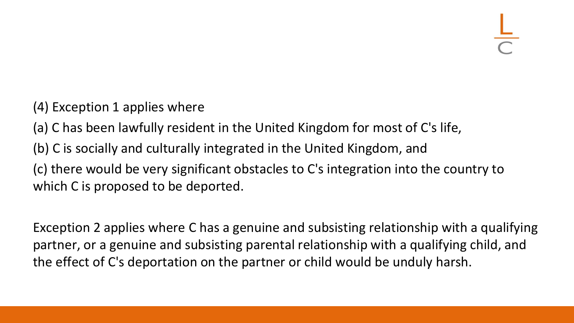- (4) Exception 1 applies where
- (a) C has been lawfully resident in the United Kingdom for most of C's life,
- (b) C is socially and culturally integrated in the United Kingdom, and

(c) there would be very significant obstacles to C's integration into the country to which C is proposed to be deported.

Exception 2 applies where C has a genuine and subsisting relationship with a qualifying partner, or a genuine and subsisting parental relationship with a qualifying child, and the effect of C's deportation on the partner or child would be unduly harsh.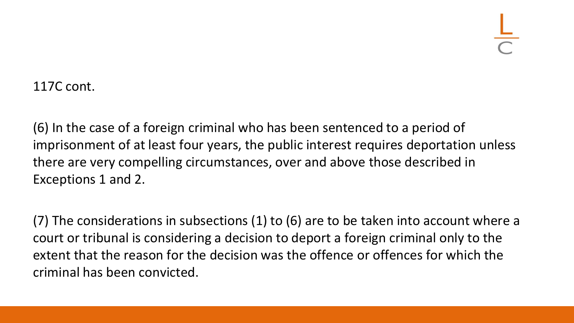117C cont.

(6) In the case of a foreign criminal who has been sentenced to a period of imprisonment of at least four years, the public interest requires deportation unless there are very compelling circumstances, over and above those described in Exceptions 1 and 2.

(7) The considerations in subsections (1) to (6) are to be taken into account where a court or tribunal is considering a decision to deport a foreign criminal only to the extent that the reason for the decision was the offence or offences for which the criminal has been convicted.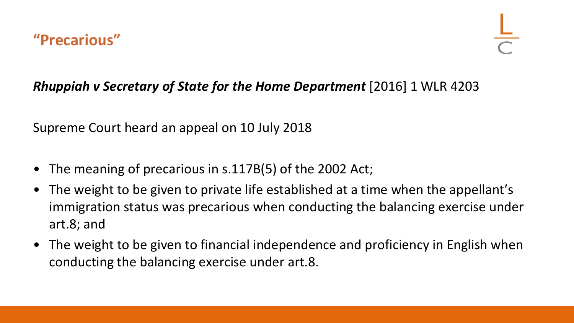## *Rhuppiah v Secretary of State for the Home Department* [2016] 1 WLR 4203

Supreme Court heard an appeal on 10 July 2018

- The meaning of precarious in s.117B(5) of the 2002 Act;
- The weight to be given to private life established at a time when the appellant's immigration status was precarious when conducting the balancing exercise under art.8; and
- The weight to be given to financial independence and proficiency in English when conducting the balancing exercise under art.8.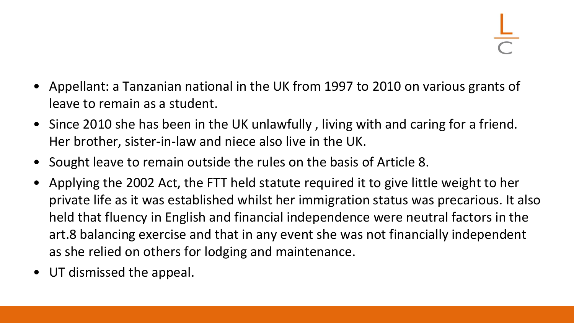- Appellant: a Tanzanian national in the UK from 1997 to 2010 on various grants of leave to remain as a student.
- Since 2010 she has been in the UK unlawfully , living with and caring for a friend. Her brother, sister-in-law and niece also live in the UK.
- Sought leave to remain outside the rules on the basis of Article 8.
- Applying the 2002 Act, the FTT held statute required it to give little weight to her private life as it was established whilst her immigration status was precarious. It also held that fluency in English and financial independence were neutral factors in the art.8 balancing exercise and that in any event she was not financially independent as she relied on others for lodging and maintenance.
- UT dismissed the appeal.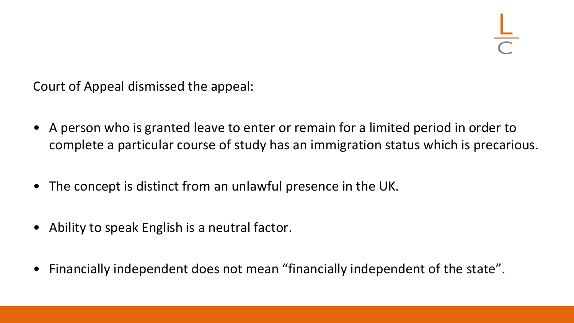Court of Appeal dismissed the appeal:

- A person who is granted leave to enter or remain for a limited period in order to complete a particular course of study has an immigration status which is precarious.
- The concept is distinct from an unlawful presence in the UK.
- Ability to speak English is a neutral factor.
- Financially independent does not mean "financially independent of the state".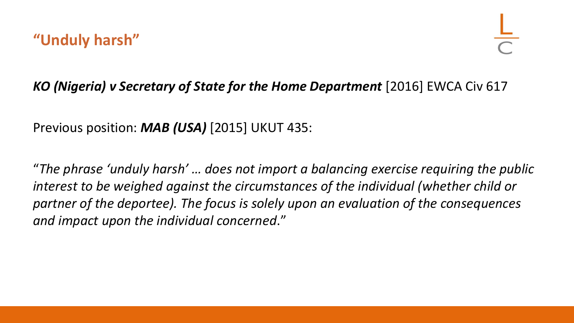### *KO (Nigeria) v Secretary of State for the Home Department* [2016] EWCA Civ 617

Previous position: *MAB (USA)* [2015] UKUT 435:

"*The phrase 'unduly harsh' … does not import a balancing exercise requiring the public interest to be weighed against the circumstances of the individual (whether child or partner of the deportee). The focus is solely upon an evaluation of the consequences and impact upon the individual concerned*."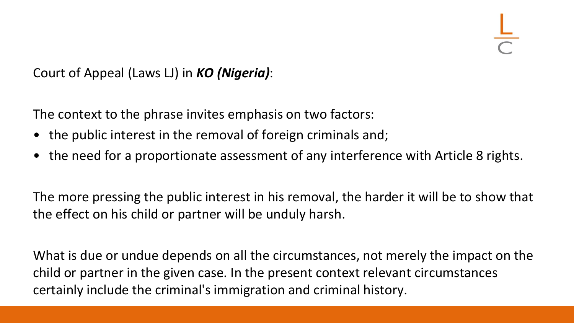Court of Appeal (Laws LJ) in *KO (Nigeria)*:

The context to the phrase invites emphasis on two factors:

- the public interest in the removal of foreign criminals and;
- the need for a proportionate assessment of any interference with Article 8 rights.

The more pressing the public interest in his removal, the harder it will be to show that the effect on his child or partner will be unduly harsh.

What is due or undue depends on all the circumstances, not merely the impact on the child or partner in the given case. In the present context relevant circumstances certainly include the criminal's immigration and criminal history.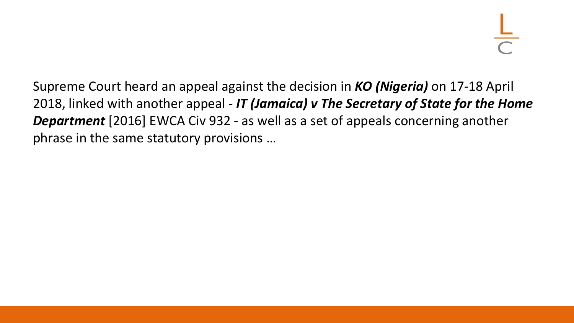Supreme Court heard an appeal against the decision in *KO (Nigeria)* on 17-18 April 2018, linked with another appeal - *IT (Jamaica) v The Secretary of State for the Home Department* [2016] EWCA Civ 932 - as well as a set of appeals concerning another phrase in the same statutory provisions …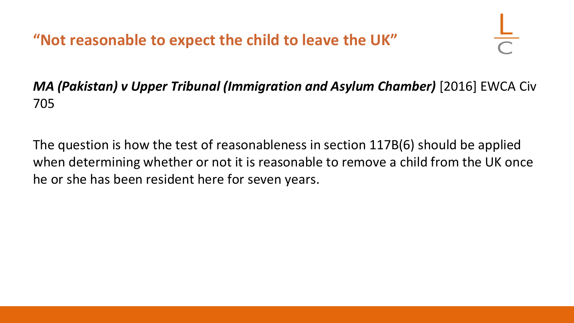**"Not reasonable to expect the child to leave the UK"**

# *MA (Pakistan) v Upper Tribunal (Immigration and Asylum Chamber)* [2016] EWCA Civ 705

The question is how the test of reasonableness in section 117B(6) should be applied when determining whether or not it is reasonable to remove a child from the UK once he or she has been resident here for seven years.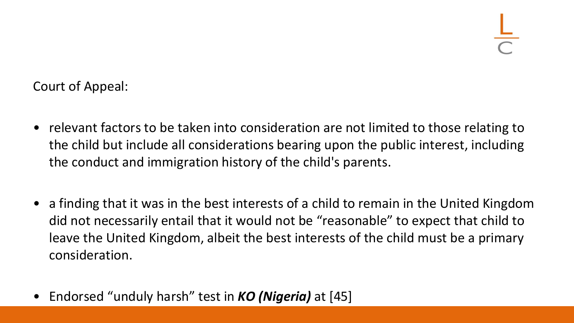Court of Appeal:

- relevant factors to be taken into consideration are not limited to those relating to the child but include all considerations bearing upon the public interest, including the conduct and immigration history of the child's parents.
- a finding that it was in the best interests of a child to remain in the United Kingdom did not necessarily entail that it would not be "reasonable" to expect that child to leave the United Kingdom, albeit the best interests of the child must be a primary consideration.
- Endorsed "unduly harsh" test in *KO (Nigeria)* at [45]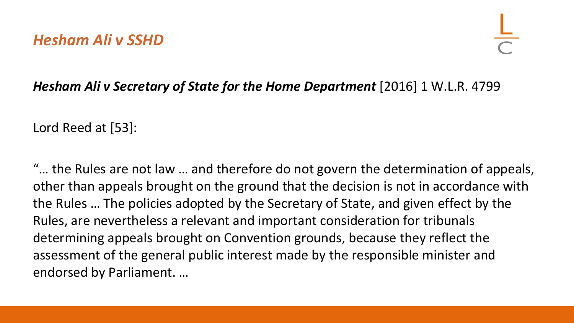### *Hesham Ali v Secretary of State for the Home Department* [2016] 1 W.L.R. 4799

Lord Reed at [53]:

"… the Rules are not law … and therefore do not govern the determination of appeals, other than appeals brought on the ground that the decision is not in accordance with the Rules … The policies adopted by the Secretary of State, and given effect by the Rules, are nevertheless a relevant and important consideration for tribunals determining appeals brought on Convention grounds, because they reflect the assessment of the general public interest made by the responsible minister and endorsed by Parliament. …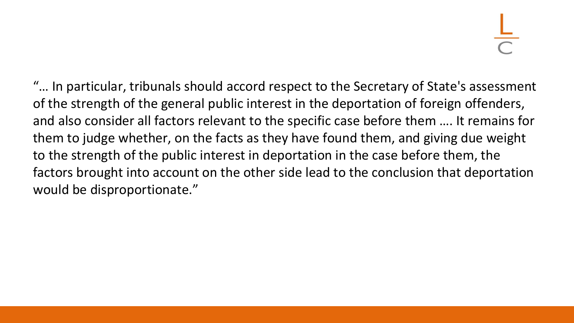"… In particular, tribunals should accord respect to the Secretary of State's assessment of the strength of the general public interest in the deportation of foreign offenders, and also consider all factors relevant to the specific case before them …. It remains for them to judge whether, on the facts as they have found them, and giving due weight to the strength of the public interest in deportation in the case before them, the factors brought into account on the other side lead to the conclusion that deportation would be disproportionate."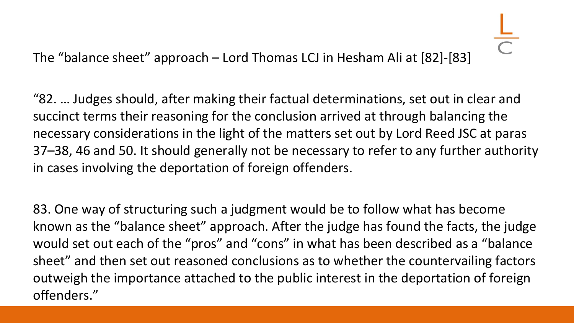The "balance sheet" approach – Lord Thomas LCJ in Hesham Ali at [82]-[83]

"82. … Judges should, after making their factual determinations, set out in clear and succinct terms their reasoning for the conclusion arrived at through balancing the necessary considerations in the light of the matters set out by Lord Reed JSC at paras 37–38, 46 and 50. It should generally not be necessary to refer to any further authority in cases involving the deportation of foreign offenders.

83. One way of structuring such a judgment would be to follow what has become known as the "balance sheet" approach. After the judge has found the facts, the judge would set out each of the "pros" and "cons" in what has been described as a "balance sheet" and then set out reasoned conclusions as to whether the countervailing factors outweigh the importance attached to the public interest in the deportation of foreign offenders."